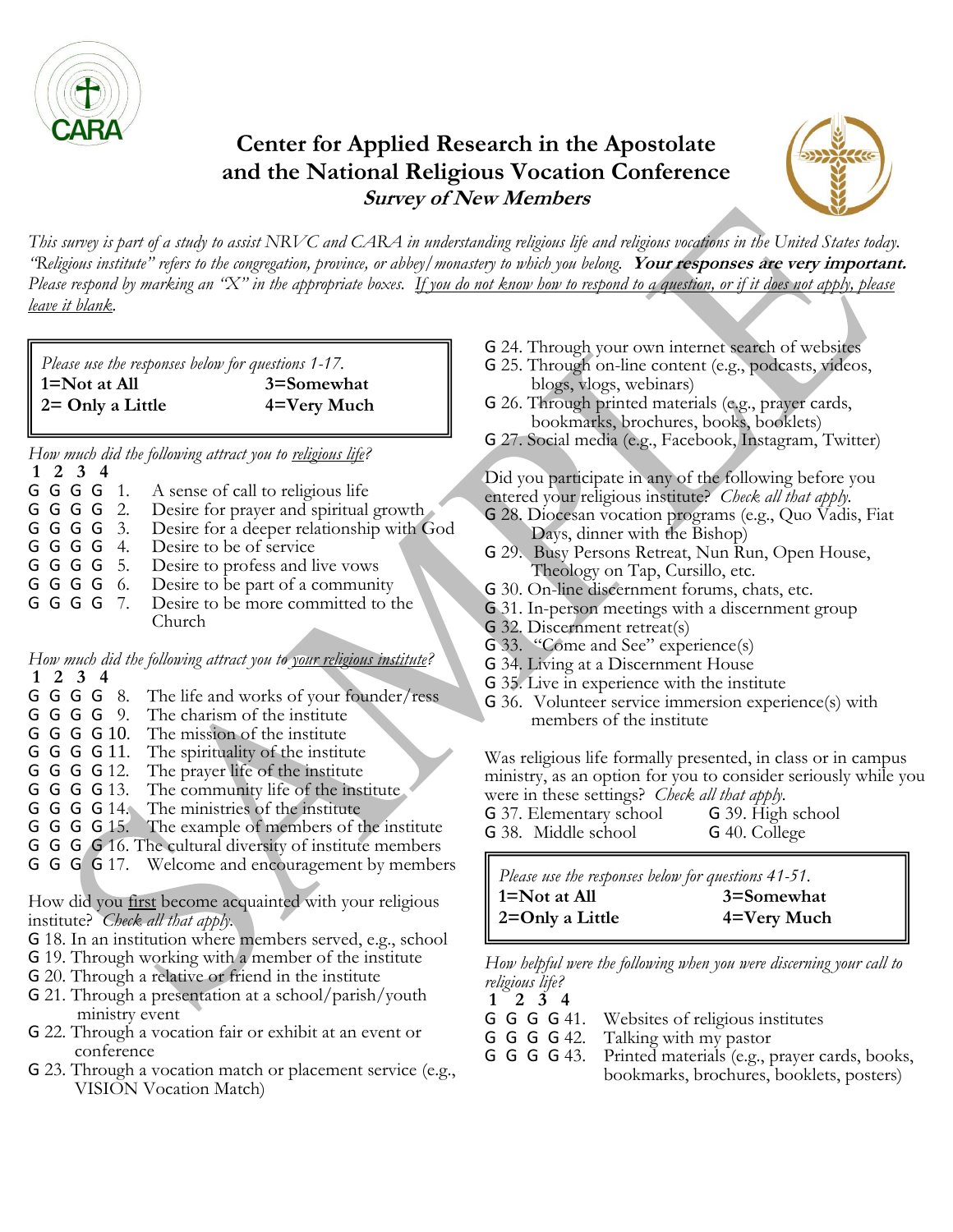

# **Center for Applied Research in the Apostolate and the National Religious Vocation Conference Survey of New Members**



*This survey is part of a study to assist NRVC and CARA in understanding religious life and religious vocations in the United States today. "Religious institute" refers to the congregation, province, or abbey/monastery to which you belong.* **Your responses are very important.** *Please respond by marking an "X" in the appropriate boxes. If you do not know how to respond to a question, or if it does not apply, please leave it blank.*

| Please use the responses below for questions 1-17. |             |  |
|----------------------------------------------------|-------------|--|
| $1 = Not$ at All                                   | 3=Somewhat  |  |
| $2 =$ Only a Little                                | 4=Very Much |  |

*How much did the following attract you to religious life?*

**1 2 3 4 G G G 1.** A sense of call to religious life<br>**G G G G** 2. Desire for prayer and spiritual Desire for prayer and spiritual growth G G G G 3. Desire for a deeper relationship with God **G G G G** 4. Desire to be of service<br>**G G G G** 5. Desire to profess and li Desire to profess and live vows G G G G 6. Desire to be part of a community G G G G 7. Desire to be more committed to the Church

*How much did the following attract you to your religious institute?*

- **1 2 3 4** The life and works of your founder/ress
- G G G G 9. The charism of the institute
- G G G G 10. The mission of the institute
- G G G G 11. The spirituality of the institute
- G G G G 12. The prayer life of the institute
- G G G G 13. The community life of the institute
- G G G G 14. The ministries of the institute
- G G G G 15. The example of members of the institute
- G G G G 16. The cultural diversity of institute members
- G G G G 17. Welcome and encouragement by members

How did you first become acquainted with your religious institute? *Check all that apply.*

- G 18. In an institution where members served, e.g., school
- G 19. Through working with a member of the institute
- G 20. Through a relative or friend in the institute
- G 21. Through a presentation at a school/parish/youth ministry event
- G 22. Through a vocation fair or exhibit at an event or conference
- G 23. Through a vocation match or placement service (e.g., VISION Vocation Match)
- G 24. Through your own internet search of websites
- G 25. Through on-line content (e.g., podcasts, videos, blogs, vlogs, webinars)
- G 26. Through printed materials (e.g., prayer cards, bookmarks, brochures, books, booklets)
- G 27. Social media (e.g., Facebook, Instagram, Twitter)

Did you participate in any of the following before you entered your religious institute? *Check all that apply.*

- G 28. Diocesan vocation programs (e.g., Quo Vadis, Fiat Days, dinner with the Bishop)
- G 29. Busy Persons Retreat, Nun Run, Open House, Theology on Tap, Cursillo, etc.
- G 30. On-line discernment forums, chats, etc.
- G 31. In-person meetings with a discernment group
- G 32. Discernment retreat(s)
- G 33. "Come and See" experience(s)
- G 34. Living at a Discernment House
- G 35. Live in experience with the institute
- G 36. Volunteer service immersion experience(s) with members of the institute

Was religious life formally presented, in class or in campus ministry, as an option for you to consider seriously while you

- were in these settings? *Check all that apply*.<br>**G** 37. Elementary school **G** 39. High school G 37. Elementary school
- G 38. Middle school G 40. College

*Please use the responses below for questions 41-51.* **1=Not at All 3=Somewhat 2=Only a Little 4=Very Much**

*How helpful were the following when you were discerning your call to religious life?*

- **1 2 3 4** G G G G 41. Websites of religious institutes<br>G G G G 42. Talking with my pastor
- G G G G 42. Talking with my pastor<br>G G G G 43. Printed materials (e.g., p
- Printed materials (e.g., prayer cards, books, bookmarks, brochures, booklets, posters)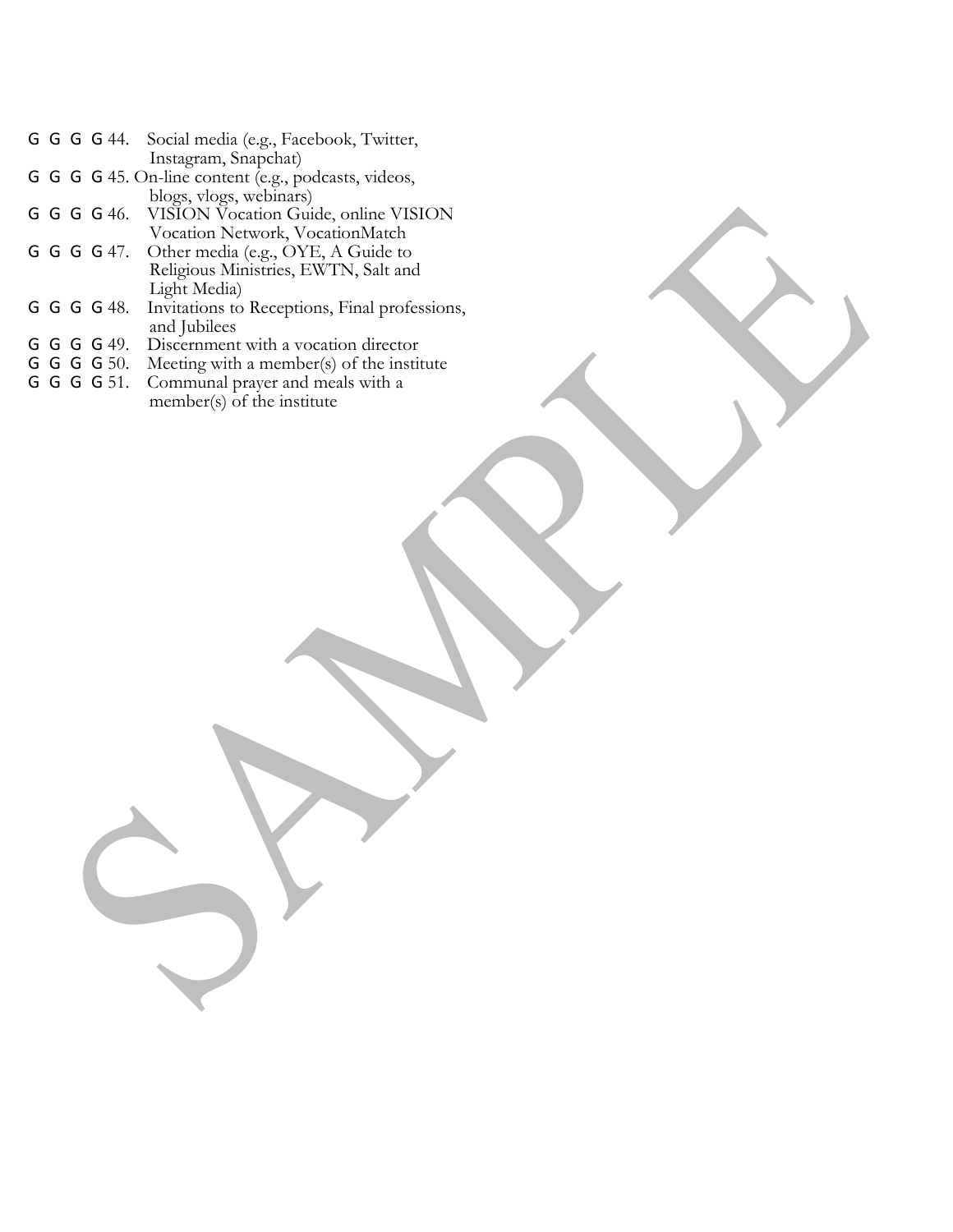|             | G G G G 44. Social media (e.g., Facebook, Twitter,      |
|-------------|---------------------------------------------------------|
|             | Instagram, Snapchat)                                    |
|             | G G G 45. On-line content (e.g., podcasts, videos,      |
|             | blogs, vlogs, webinars)                                 |
|             | G G G G 46. VISION Vocation Guide, online VISION        |
|             | Vocation Network, VocationMatch                         |
|             | G G G G 47. Other media (e.g., OYE, A Guide to          |
|             | Religious Ministries, EWTN, Salt and                    |
|             | Light Media)                                            |
|             | G G G 48. Invitations to Receptions, Final professions, |
|             | and Jubilees                                            |
| G G G G 49. | Discernment with a vocation director                    |
| G G G G 50. | Meeting with a member(s) of the institute               |
| G G G G 51. | Communal prayer and meals with a                        |
|             | member(s) of the institute                              |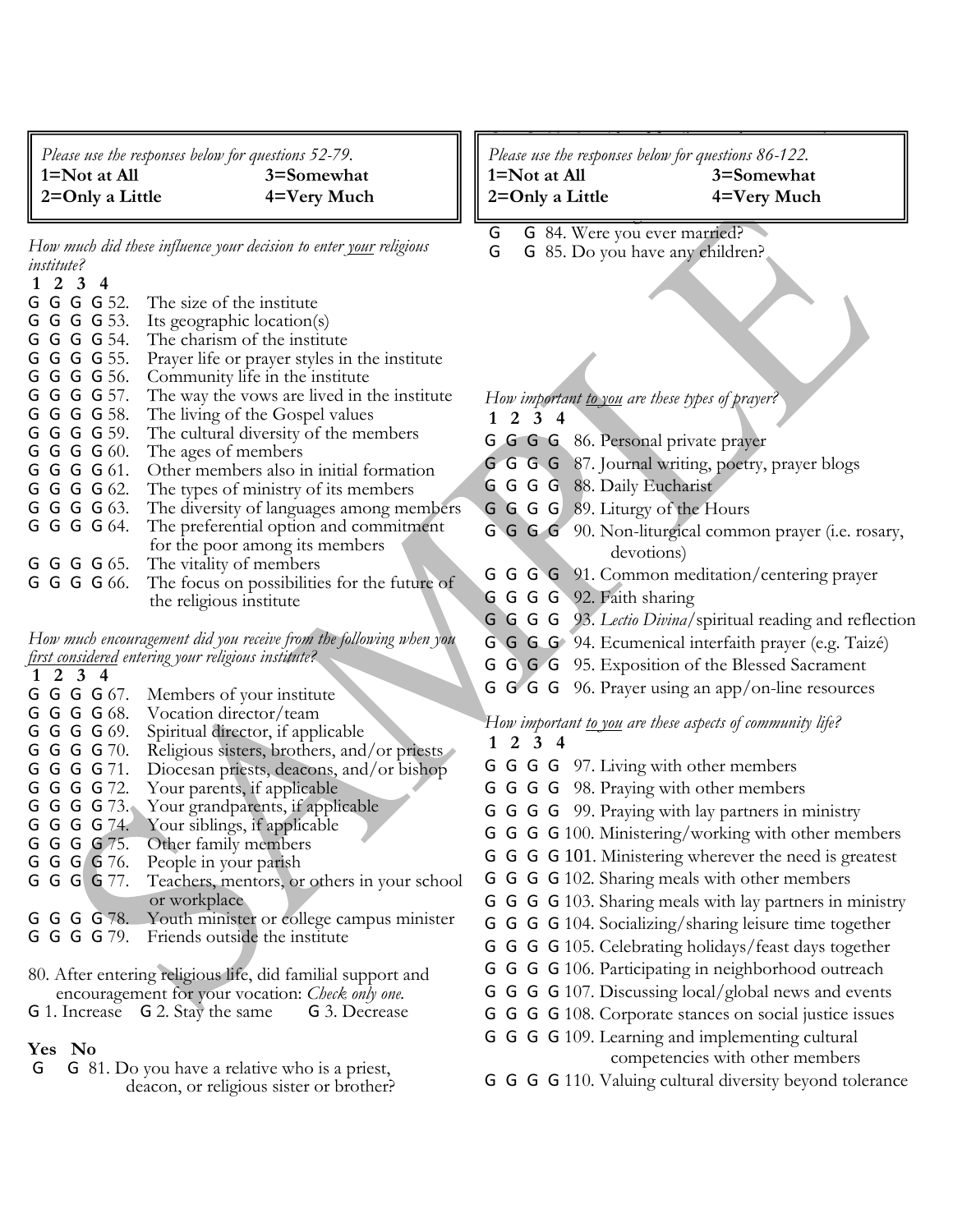*Please use the responses below for questions 52-79.* **1=Not at All 3=Somewhat 2=Only a Little 4=Very Much**

*How much did these influence your decision to enter your religious institute?*

|  | $1\ 2\ 3\ 4$ |                                               |
|--|--------------|-----------------------------------------------|
|  | G G G G 52.  | The size of the institute                     |
|  | G G G G 53.  | Its geographic location(s)                    |
|  | G G G G 54.  | The charism of the institute                  |
|  | G G G G 55.  | Prayer life or prayer styles in the institute |
|  | G G G G 56.  | Community life in the institute               |
|  | G G G G 57.  | The way the vows are lived in the institute   |
|  | G G G G 58.  | The living of the Gospel values               |
|  | G G G G 59.  | The cultural diversity of the members         |
|  | G G G G 60.  | The ages of members                           |
|  | G G G G 61.  | Other members also in initial formation       |
|  | G G G G 62.  | The types of ministry of its members          |
|  | G G G G 63.  | The diversity of languages among members      |
|  | G G G G 64.  | The preferential option and commitment        |
|  |              | for the poor among its members                |
|  | G G G G 65.  | The vitality of members                       |
|  | G G G G 66.  | The focus on possibilities for the future of  |
|  |              | the religious institute                       |

*How much encouragement did you receive from the following when you first considered entering your religious institute?*

| $1 \t2 \t3 \t4$                                             |                                                       |  |
|-------------------------------------------------------------|-------------------------------------------------------|--|
| G G G G 67.                                                 | Members of your institute                             |  |
| G G G G 68.                                                 | Vocation director/team                                |  |
| G G G G 69.                                                 | Spiritual director, if applicable                     |  |
| G G G G 70.                                                 | Religious sisters, brothers, and/or priests           |  |
| G G G G 71.                                                 | Diocesan priests, deacons, and/or bishop              |  |
| G G G G 72.                                                 | Your parents, if applicable                           |  |
| G G G G 73.                                                 | Your grandparents, if applicable                      |  |
| G G G G 74.                                                 | Your siblings, if applicable                          |  |
| G G G G 75.                                                 | Other family members                                  |  |
| G G G G 76.                                                 | People in your parish                                 |  |
| G G G G 77.                                                 | Teachers, mentors, or others in your school           |  |
|                                                             | or workplace                                          |  |
|                                                             | G G G G 78. Youth minister or college campus minister |  |
| G G G G 79.                                                 | Friends outside the institute                         |  |
|                                                             |                                                       |  |
| 80. After entering religious life, did familial support and |                                                       |  |

 encouragement for your vocation: *Check only one.* G 1. Increase G 2. Stay the same G 3. Decrease

#### **Yes No**

G G 81. Do you have a relative who is a priest, deacon, or religious sister or brother?

g and family members, were the family members, were the family members, were the family members, were there any Please use the responses below for questions 86-122. **1=Not at All 3=Somewhat** 

2=Only a Little **4=Very Much** 

- entering? G G 84. Were you ever married?
- G G 85. Do you have any children?

*How important to you are these types of prayer?* **1 2 3 4** G G G G 86. Personal private prayer G G G G 87. Journal writing, poetry, prayer blogs G G G G 88. Daily Eucharist G G G G 89. Liturgy of the Hours G G G G 90. Non-liturgical common prayer (i.e. rosary, devotions) G G G G 91. Common meditation/centering prayer G G G G 92. Faith sharing G G G G 93. *Lectio Divina*/spiritual reading and reflection G G G G 94. Ecumenical interfaith prayer (e.g. Taizé) G G G G 95. Exposition of the Blessed Sacrament G G G G 96. Prayer using an app/on-line resources *How important to you are these aspects of community life?*  **1 2 3 4**

- G G G G 97. Living with other members
- G G G G 98. Praying with other members
- G G G G 99. Praying with lay partners in ministry
- G G G G 100. Ministering/working with other members
- G G G G 101. Ministering wherever the need is greatest
- G G G G 102. Sharing meals with other members
- G G G G 103. Sharing meals with lay partners in ministry
- G G G G 104. Socializing/sharing leisure time together
- G G G G 105. Celebrating holidays/feast days together
- G G G G 106. Participating in neighborhood outreach
- G G G G 107. Discussing local/global news and events
- G G G G 108. Corporate stances on social justice issues
- G G G G 109. Learning and implementing cultural competencies with other members
- G G G G 110. Valuing cultural diversity beyond tolerance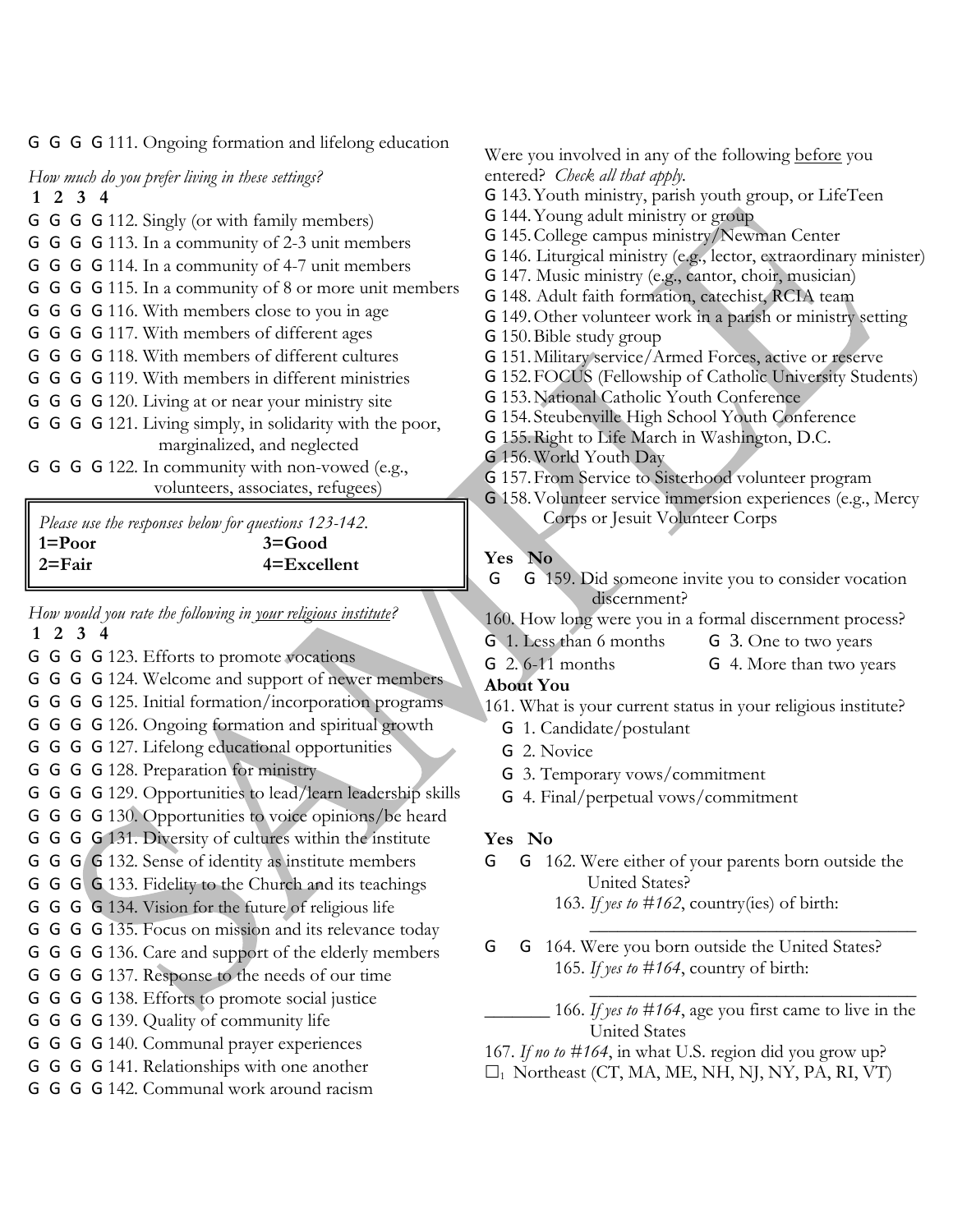G G G G 111. Ongoing formation and lifelong education

*How much do you prefer living in these settings?* **1 2 3 4**

- G G G G 112. Singly (or with family members)
- G G G G 113. In a community of 2-3 unit members
- G G G G 114. In a community of 4-7 unit members
- G G G G 115. In a community of 8 or more unit members
- G G G G 116. With members close to you in age
- G G G G 117. With members of different ages
- G G G G 118. With members of different cultures
- G G G G 119. With members in different ministries
- G G G G 120. Living at or near your ministry site
- G G G G 121. Living simply, in solidarity with the poor, marginalized, and neglected
- G G G G 122. In community with non-vowed (e.g., volunteers, associates, refugees)

*Please use the responses below for questions 123-142.* **1=Poor 3=Good 2=Fair 4=Excellent**

*How would you rate the following in your religious institute?* **1 2 3 4**

- G G G G 123. Efforts to promote vocations
- G G G G 124. Welcome and support of newer members
- G G G G 125. Initial formation/incorporation programs
- G G G G 126. Ongoing formation and spiritual growth
- G G G G 127. Lifelong educational opportunities
- G G G G 128. Preparation for ministry
- G G G G 129. Opportunities to lead/learn leadership skills
- G G G G 130. Opportunities to voice opinions/be heard
- G G G G 131. Diversity of cultures within the institute
- G G G G 132. Sense of identity as institute members
- G G G G 133. Fidelity to the Church and its teachings
- G G G G 134. Vision for the future of religious life
- G G G G 135. Focus on mission and its relevance today
- G G G G 136. Care and support of the elderly members
- G G G G 137. Response to the needs of our time
- G G G G 138. Efforts to promote social justice
- G G G G 139. Quality of community life
- G G G G 140. Communal prayer experiences
- G G G G 141. Relationships with one another
- G G G G 142. Communal work around racism

Were you involved in any of the following before you entered? *Check all that apply.*

G 143.Youth ministry, parish youth group, or LifeTeen

- G 144.Young adult ministry or group
- G 145.College campus ministry/Newman Center
- G 146. Liturgical ministry (e.g., lector, extraordinary minister)
- G 147. Music ministry (e.g., cantor, choir, musician)
- G 148. Adult faith formation, catechist, RCIA team
- G 149.Other volunteer work in a parish or ministry setting
- G 150.Bible study group
- G 151.Military service/Armed Forces, active or reserve
- G 152.FOCUS (Fellowship of Catholic University Students)
- G 153.National Catholic Youth Conference
- G 154. Steubenville High School Youth Conference
- G 155.Right to Life March in Washington, D.C.
- G 156.World Youth Day
- G 157.From Service to Sisterhood volunteer program
- G 158.Volunteer service immersion experiences (e.g., Mercy Corps or Jesuit Volunteer Corps

### **Yes No**

- G G 159. Did someone invite you to consider vocation discernment?
- 160. How long were you in a formal discernment process?
- G 1. Less than 6 months G 3. One to two years
- G 2. 6-11 months G 4. More than two years

## **About You**

- 161. What is your current status in your religious institute?
	- G 1. Candidate/postulant
	- G 2. Novice
	- G 3. Temporary vows/commitment
	- G 4. Final/perpetual vows/commitment

#### **Yes No**

- G G 162. Were either of your parents born outside the United States?
	- 163. *If yes to #162*, country(ies) of birth: \_\_\_\_\_\_\_\_\_\_\_\_\_\_\_\_\_\_\_\_\_\_\_\_\_\_\_\_\_\_\_\_\_\_\_
- G G 164. Were you born outside the United States? 165. *If yes to #164*, country of birth:

\_\_\_\_\_\_\_ 166. *If yes to #164*, age you first came to live in the United States

\_\_\_\_\_\_\_\_\_\_\_\_\_\_\_\_\_\_\_\_\_\_\_\_\_\_\_\_\_\_\_\_\_\_\_

167. *If no to #164*, in what U.S. region did you grow up?

 $\Box_1$  Northeast (CT, MA, ME, NH, NJ, NY, PA, RI, VT)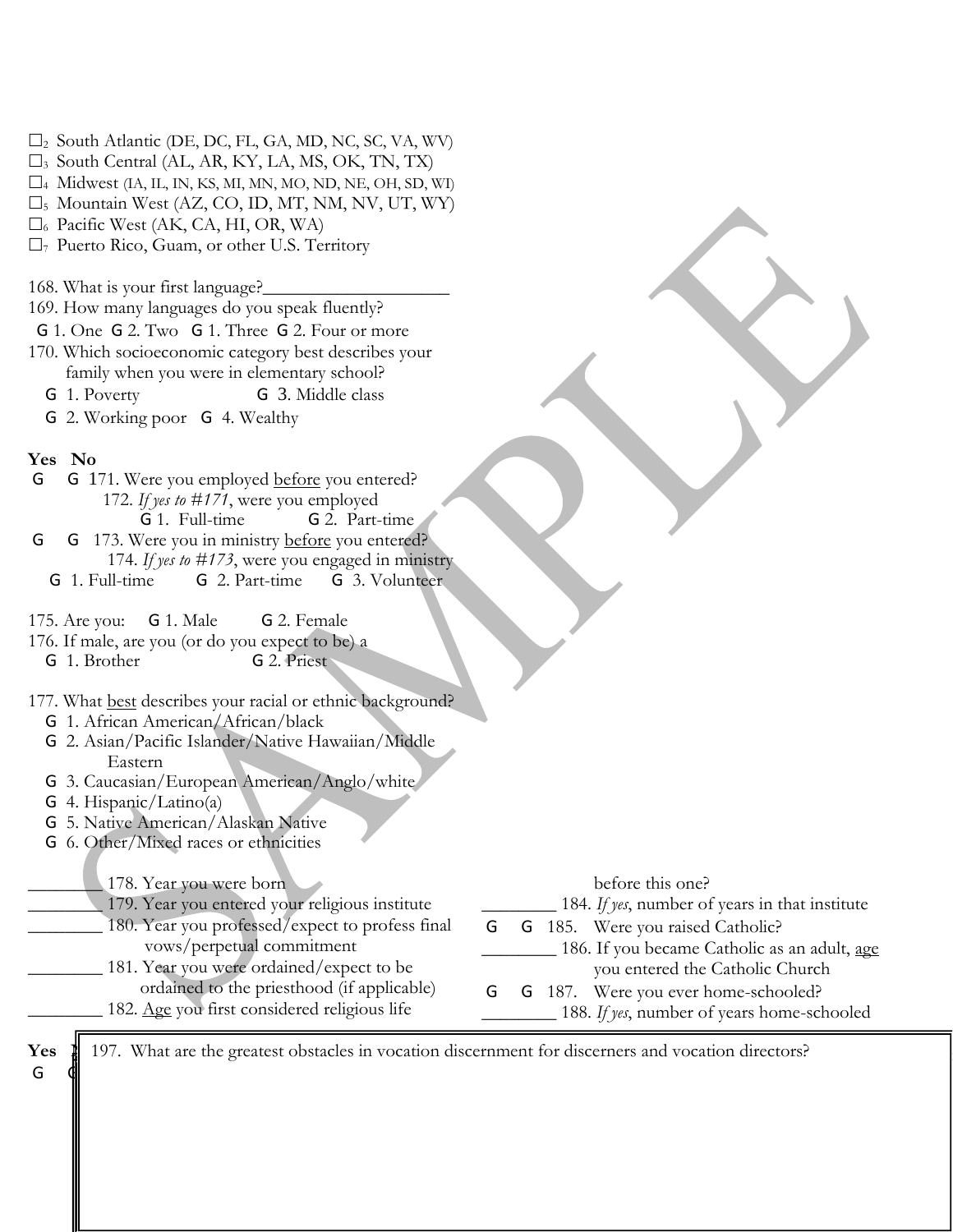- $\square_2$  South Atlantic (DE, DC, FL, GA, MD, NC, SC, VA, WV)
- $\square_3$  South Central (AL, AR, KY, LA, MS, OK, TN, TX)
- $\square$ 4 Midwest (IA, IL, IN, KS, MI, MN, MO, ND, NE, OH, SD, WI)
- $\square_5$  Mountain West (AZ, CO, ID, MT, NM, NV, UT, WY)
- $\square$ <sub>6</sub> Pacific West (AK, CA, HI, OR, WA)
- $\Box$ <sub>7</sub> Puerto Rico, Guam, or other U.S. Territory

168. What is your first language?

- 169. How many languages do you speak fluently?
- G 1. One G 2. Two G 1. Three G 2. Four or more
- 170. Which socioeconomic category best describes your family when you were in elementary school?
	- G 1. Poverty G 3. Middle class
	-
	- G 2. Working poor G 4. Wealthy

#### **Yes No**

- G G 171. Were you employed before you entered? 172. *If yes to #171*, were you employed G 1. Full-time G 2. Part-time G G 173. Were you in ministry before you entered? 174. *If yes to #173*, were you engaged in ministry G 1. Full-time G 2. Part-time G 3. Volunteer 175. Are you: G 1. Male G 2. Female 176. If male, are you (or do you expect to be) a G 1. Brother G 2. Priest 177. What best describes your racial or ethnic background? G 1. African American/African/black G 2. Asian/Pacific Islander/Native Hawaiian/Middle Eastern G 3. Caucasian/European American/Anglo/white G 4. Hispanic/Latino(a) G 5. Native American/Alaskan Native G 6. Other/Mixed races or ethnicities 178. Year you were born \_\_\_\_\_\_\_\_ 179. Year you entered your religious institute 180. Year you professed/expect to profess final vows/perpetual commitment 181. Year you were ordained/expect to be before this one? 184. If yes, number of years in that institute G G 185. Were you raised Catholic? 186. If you became Catholic as an adult, age you entered the Catholic Church
	- ordained to the priesthood (if applicable)
	- 182. Age you first considered religious life
- 
- G G 187. Were you ever home-schooled? 188. If yes, number of years home-schooled

 $Yes$ G 4 4 September 1933. Did you enter another religious institute and the september of the september of the september 1930 and the september 1930 and the september 1930 and the september 1930 and the september 1930 and the s

197. What are the greatest obstacles in vocation discernment for discerners and vocation directors?